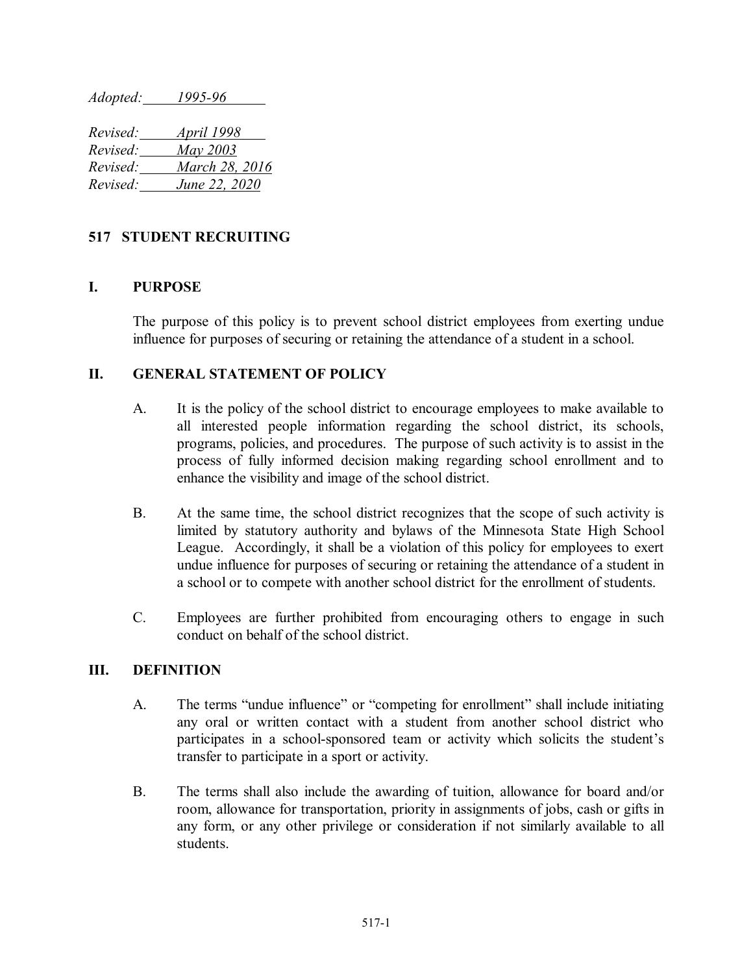*Adopted: 1995-96*

| Revised: | <u>April 1998</u> |
|----------|-------------------|
| Revised: | May 2003          |
| Revised: | March 28, 2016    |
| Revised: | June 22, 2020     |

# **517 STUDENT RECRUITING**

## **I. PURPOSE**

The purpose of this policy is to prevent school district employees from exerting undue influence for purposes of securing or retaining the attendance of a student in a school.

## **II. GENERAL STATEMENT OF POLICY**

- A. It is the policy of the school district to encourage employees to make available to all interested people information regarding the school district, its schools, programs, policies, and procedures. The purpose of such activity is to assist in the process of fully informed decision making regarding school enrollment and to enhance the visibility and image of the school district.
- B. At the same time, the school district recognizes that the scope of such activity is limited by statutory authority and bylaws of the Minnesota State High School League. Accordingly, it shall be a violation of this policy for employees to exert undue influence for purposes of securing or retaining the attendance of a student in a school or to compete with another school district for the enrollment of students.
- C. Employees are further prohibited from encouraging others to engage in such conduct on behalf of the school district.

## **III. DEFINITION**

- A. The terms "undue influence" or "competing for enrollment" shall include initiating any oral or written contact with a student from another school district who participates in a school-sponsored team or activity which solicits the student's transfer to participate in a sport or activity.
- B. The terms shall also include the awarding of tuition, allowance for board and/or room, allowance for transportation, priority in assignments of jobs, cash or gifts in any form, or any other privilege or consideration if not similarly available to all students.